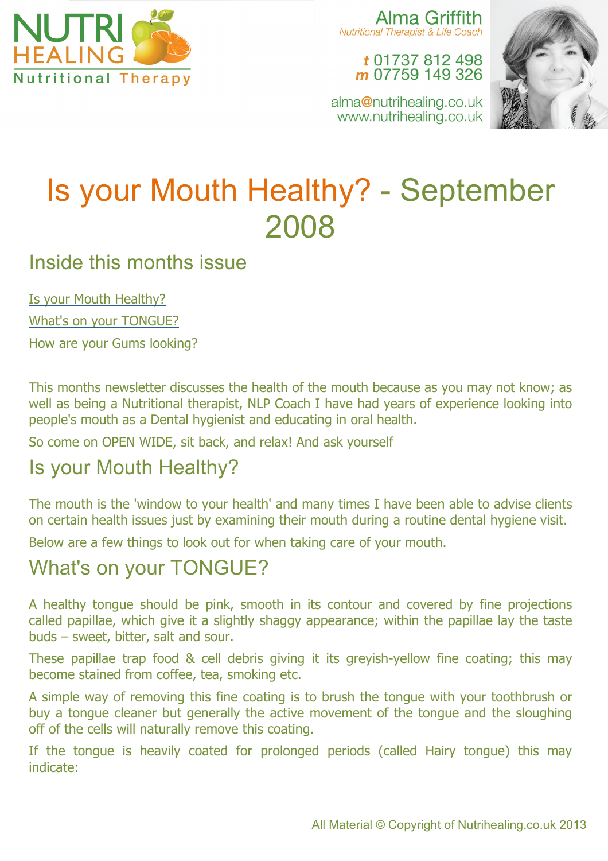

Alma Griffith Nutritional Therapist & Life Coach

> t 01737 812 498 m 07759 149 326



alma@nutrihealing.co.uk www.nutrihealing.co.uk

# Is your Mouth Healthy? - September 2008

## Inside this months issue

Is your Mouth Healthy? What's on your TONGUE?

How are your Gums looking?

This months newsletter discusses the health of the mouth because as you may not know; as well as being a Nutritional therapist, NLP Coach I have had years of experience looking into people's mouth as a Dental hygienist and educating in oral health.

So come on OPEN WIDE, sit back, and relax! And ask yourself

# Is your Mouth Healthy?

The mouth is the 'window to your health' and many times I have been able to advise clients on certain health issues just by examining their mouth during a routine dental hygiene visit.

Below are a few things to look out for when taking care of your mouth.

## What's on your TONGUE?

A healthy tongue should be pink, smooth in its contour and covered by fine projections called papillae, which give it a slightly shaggy appearance; within the papillae lay the taste buds – sweet, bitter, salt and sour.

These papillae trap food & cell debris giving it its greyish-yellow fine coating; this may become stained from coffee, tea, smoking etc.

A simple way of removing this fine coating is to brush the tongue with your toothbrush or buy a tongue cleaner but generally the active movement of the tongue and the sloughing off of the cells will naturally remove this coating.

If the tongue is heavily coated for prolonged periods (called Hairy tongue) this may indicate: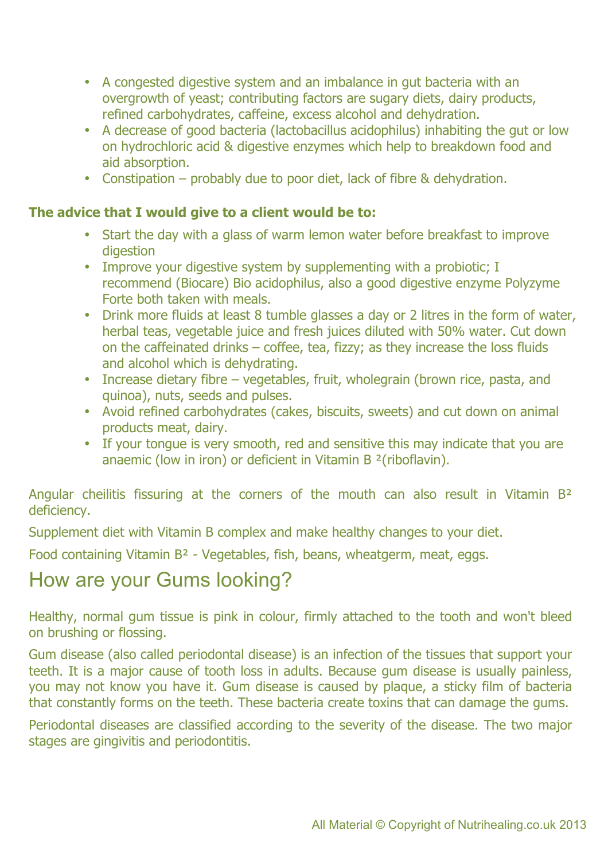- A congested digestive system and an imbalance in gut bacteria with an overgrowth of yeast; contributing factors are sugary diets, dairy products, refined carbohydrates, caffeine, excess alcohol and dehydration.
- A decrease of good bacteria (lactobacillus acidophilus) inhabiting the gut or low on hydrochloric acid & digestive enzymes which help to breakdown food and aid absorption.
- Constipation probably due to poor diet, lack of fibre & dehydration.

#### **The advice that I would give to a client would be to:**

- Start the day with a glass of warm lemon water before breakfast to improve digestion
- Improve your digestive system by supplementing with a probiotic; I recommend (Biocare) Bio acidophilus, also a good digestive enzyme Polyzyme Forte both taken with meals.
- Drink more fluids at least 8 tumble glasses a day or 2 litres in the form of water, herbal teas, vegetable juice and fresh juices diluted with 50% water. Cut down on the caffeinated drinks – coffee, tea, fizzy; as they increase the loss fluids and alcohol which is dehydrating.
- Increase dietary fibre vegetables, fruit, wholegrain (brown rice, pasta, and quinoa), nuts, seeds and pulses.
- Avoid refined carbohydrates (cakes, biscuits, sweets) and cut down on animal products meat, dairy.
- If your tongue is very smooth, red and sensitive this may indicate that you are anaemic (low in iron) or deficient in Vitamin B ²(riboflavin).

Angular cheilitis fissuring at the corners of the mouth can also result in Vitamin B<sup>2</sup> deficiency.

Supplement diet with Vitamin B complex and make healthy changes to your diet.

Food containing Vitamin B² - Vegetables, fish, beans, wheatgerm, meat, eggs.

## How are your Gums looking?

Healthy, normal gum tissue is pink in colour, firmly attached to the tooth and won't bleed on brushing or flossing.

Gum disease (also called periodontal disease) is an infection of the tissues that support your teeth. It is a major cause of tooth loss in adults. Because gum disease is usually painless, you may not know you have it. Gum disease is caused by plaque, a sticky film of bacteria that constantly forms on the teeth. These bacteria create toxins that can damage the gums.

Periodontal diseases are classified according to the severity of the disease. The two major stages are gingivitis and periodontitis.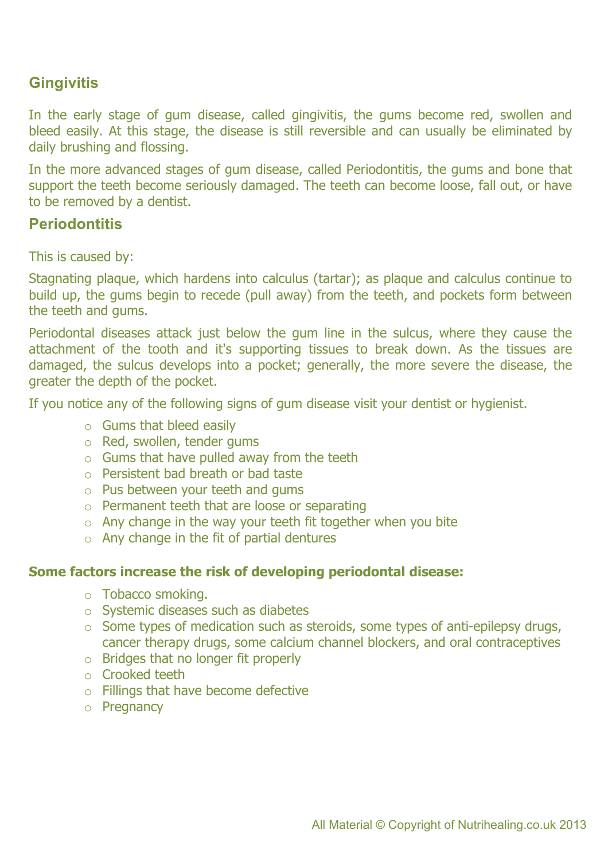### **Gingivitis**

In the early stage of gum disease, called gingivitis, the gums become red, swollen and bleed easily. At this stage, the disease is still reversible and can usually be eliminated by daily brushing and flossing.

In the more advanced stages of gum disease, called Periodontitis, the gums and bone that support the teeth become seriously damaged. The teeth can become loose, fall out, or have to be removed by a dentist.

#### **Periodontitis**

This is caused by:

Stagnating plaque, which hardens into calculus (tartar); as plaque and calculus continue to build up, the gums begin to recede (pull away) from the teeth, and pockets form between the teeth and gums.

Periodontal diseases attack just below the gum line in the sulcus, where they cause the attachment of the tooth and it's supporting tissues to break down. As the tissues are damaged, the sulcus develops into a pocket; generally, the more severe the disease, the greater the depth of the pocket.

If you notice any of the following signs of gum disease visit your dentist or hygienist.

- $\circ$  Gums that bleed easily
- o Red, swollen, tender gums
- $\circ$  Gums that have pulled away from the teeth
- o Persistent bad breath or bad taste
- o Pus between your teeth and gums
- o Permanent teeth that are loose or separating
- $\circ$  Any change in the way your teeth fit together when you bite
- $\circ$  Any change in the fit of partial dentures

#### **Some factors increase the risk of developing periodontal disease:**

- o Tobacco smoking.
- o Systemic diseases such as diabetes
- o Some types of medication such as steroids, some types of anti-epilepsy drugs, cancer therapy drugs, some calcium channel blockers, and oral contraceptives
- o Bridges that no longer fit properly
- o Crooked teeth
- o Fillings that have become defective
- o Pregnancy